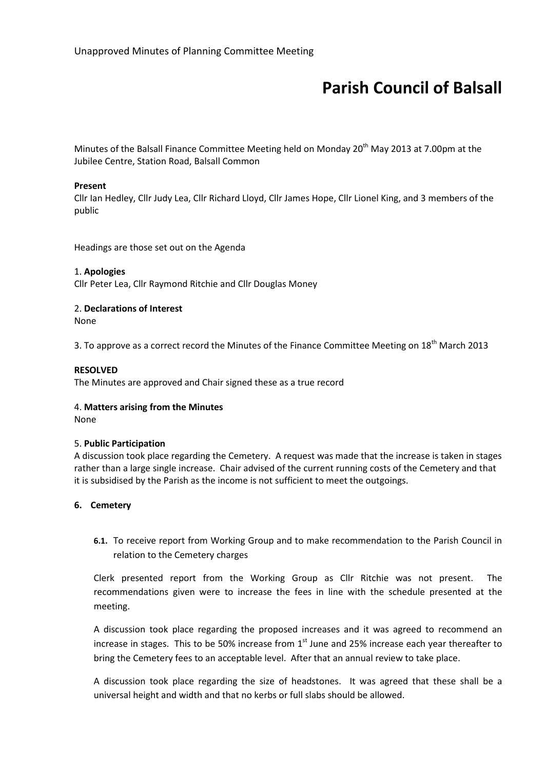# Parish Council of Balsall

Minutes of the Balsall Finance Committee Meeting held on Monday 20<sup>th</sup> May 2013 at 7.00pm at the Jubilee Centre, Station Road, Balsall Common

## Present

Cllr Ian Hedley, Cllr Judy Lea, Cllr Richard Lloyd, Cllr James Hope, Cllr Lionel King, and 3 members of the public

Headings are those set out on the Agenda

## 1. Apologies

Cllr Peter Lea, Cllr Raymond Ritchie and Cllr Douglas Money

# 2. Declarations of Interest

None

3. To approve as a correct record the Minutes of the Finance Committee Meeting on  $18<sup>th</sup>$  March 2013

## RESOLVED

The Minutes are approved and Chair signed these as a true record

### 4. Matters arising from the Minutes

None

### 5. Public Participation

A discussion took place regarding the Cemetery. A request was made that the increase is taken in stages rather than a large single increase. Chair advised of the current running costs of the Cemetery and that it is subsidised by the Parish as the income is not sufficient to meet the outgoings.

### 6. Cemetery

6.1. To receive report from Working Group and to make recommendation to the Parish Council in relation to the Cemetery charges

Clerk presented report from the Working Group as Cllr Ritchie was not present. The recommendations given were to increase the fees in line with the schedule presented at the meeting.

A discussion took place regarding the proposed increases and it was agreed to recommend an increase in stages. This to be 50% increase from  $1<sup>st</sup>$  June and 25% increase each year thereafter to bring the Cemetery fees to an acceptable level. After that an annual review to take place.

A discussion took place regarding the size of headstones. It was agreed that these shall be a universal height and width and that no kerbs or full slabs should be allowed.